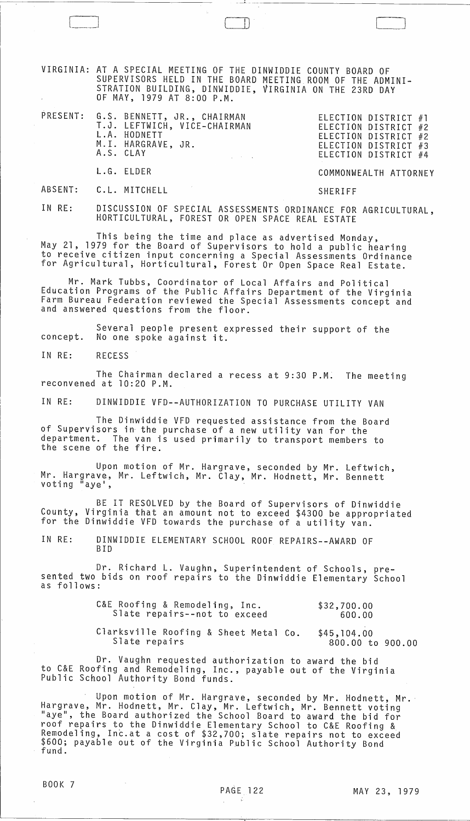VIRGINIA: AT A SPECIAL MEETING OF THE DINWIDDIE COUNTY BOARD OF SUPERVISORS HELD IN THE BOARD MEETING ROOM OF THE ADMINI-STRATION BUILDING, DINWIDDIE, VIRGINIA ON THE 23RD DAY OF MAY, 1979 AT 8:00 P.M.

 $\Box$ 

--" ---- ~-~~~~-~~~-~~~-~-~-

|  | PRESENT: G.S. BENNETT, JR., CHAIRMAN<br>T.J. LEFTWICH, VICE-CHAIRMAN<br>L.A. HODNETT<br>M.I. HARGRAVE, JR.<br>A.S. CLAY<br>$\mathcal{L}^{\mathcal{L}}_{\mathcal{L}}$ and $\mathcal{L}^{\mathcal{L}}_{\mathcal{L}}$ and $\mathcal{L}^{\mathcal{L}}_{\mathcal{L}}$ and $\mathcal{L}^{\mathcal{L}}_{\mathcal{L}}$ | ELECTION DISTRICT #1<br>ELECTION DISTRICT #2<br>ELECTION DISTRICT #2<br>ELECTION DISTRICT #3<br>ELECTION DISTRICT #4 |
|--|----------------------------------------------------------------------------------------------------------------------------------------------------------------------------------------------------------------------------------------------------------------------------------------------------------------|----------------------------------------------------------------------------------------------------------------------|
|  | L.G. ELDER                                                                                                                                                                                                                                                                                                     | COMMONWEALTH ATTORNEY                                                                                                |
|  | ABSENT: C.L. MITCHELL                                                                                                                                                                                                                                                                                          | SHERIFF                                                                                                              |

IN RE: DISCUSSION OF SPECIAL ASSESSMENTS ORDINANCE FOR AGRICULTURAL, HORTICULTURAL, FOREST OR OPEN SPACE REAL ESTATE

This being the time and place as advertised Monday, May 21, 1979 for the Board of Supervisors to hold a public hearing to receive citizen input concerning a Special Assessments Ordinance for Agricultural, Horticultural, Forest Or Open Space Real Estate.

Mr. Mark Tubbs, Coordinator of Local Affairs and Political Education Programs of the Public Affairs Department of the Virginia Farm Bureau Federation reviewed the Special Assessments concept and and answered questions from the floor.

Several people present expressed their support of the concept. No one spoke against it.

IN RE: RECESS

The Chairman declared a recess at 9:30 P.M. The meeting<br>reconvened at 10:20 P.M.

IN RE: DINWIDDIE VFD--AUTHORIZATION TO PURCHASE UTILITY VAN

The Dinwiddie VFD requested assistance from the Board of Supervisors in the purchase of a new utility van for the department. The van is used primarily to transport members to the scene of the fire.

Upon motion of Mr. Hargrave, seconded by Mr. Leftwich, Mr. Hargrave, Mr. Leftwich, Mr. Clay, Mr. Hodnett, Mr. Bennett voting "aye',

BE IT RESOLVED by the Board of Supervisors of Dinwiddie County, Virginia that an amount not to exceed \$4300 be appropriated for the Dinwiddie VFD towards the purchase of a utility van.

IN RE: DINWIDDIE ELEMENTARY SCHOOL ROOF REPAIRS--AWARD OF BID

Slate repairs

Dr. Richard L. Vaughn, Superintendent of Schools, pre- sented two bids on roof repairs to the Dinwiddie Elementary School as follows:

| C&E Roofing & Remodeling, Inc.<br>Slate repairs--not to exceed | \$32,700.00<br>600.00 |  |
|----------------------------------------------------------------|-----------------------|--|
| Clarksville Roofing & Sheet Metal Co.                          | \$45,104.00           |  |

Dr. Vaughn requested authorization to award the bid to C&E Roofing and Remodeling, Inc., payable out of the Virginia Public School Authority Bond funds.

Upon motion of Mr. Hargrave, seconded by Mr. Hodnett, Mr. Hargrave, Mr. Hodnett, Mr. Clay, Mr. Leftwich, Mr. Bennett voting "aye", the Board authorized the School Board to award the bid for roof repairs to the Dinwiddie Elementary School to C&E Roofing & Remodeling, Inc.at a cost of \$32,700; slate repairs not to exceed \$600; payable out of the Virginia Public School Authority Bond fund.

800.00 to 900.00